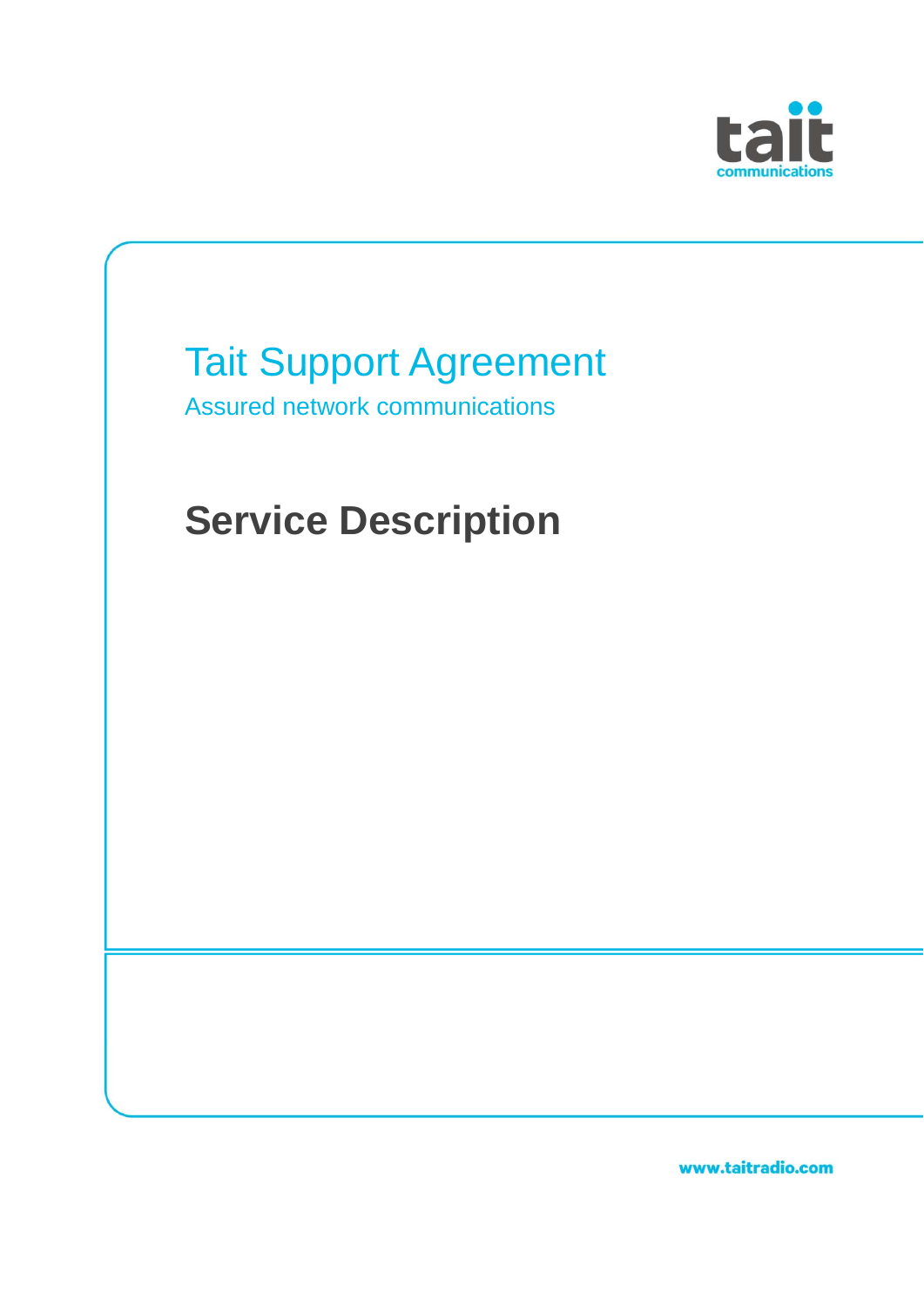



www.taitradio.com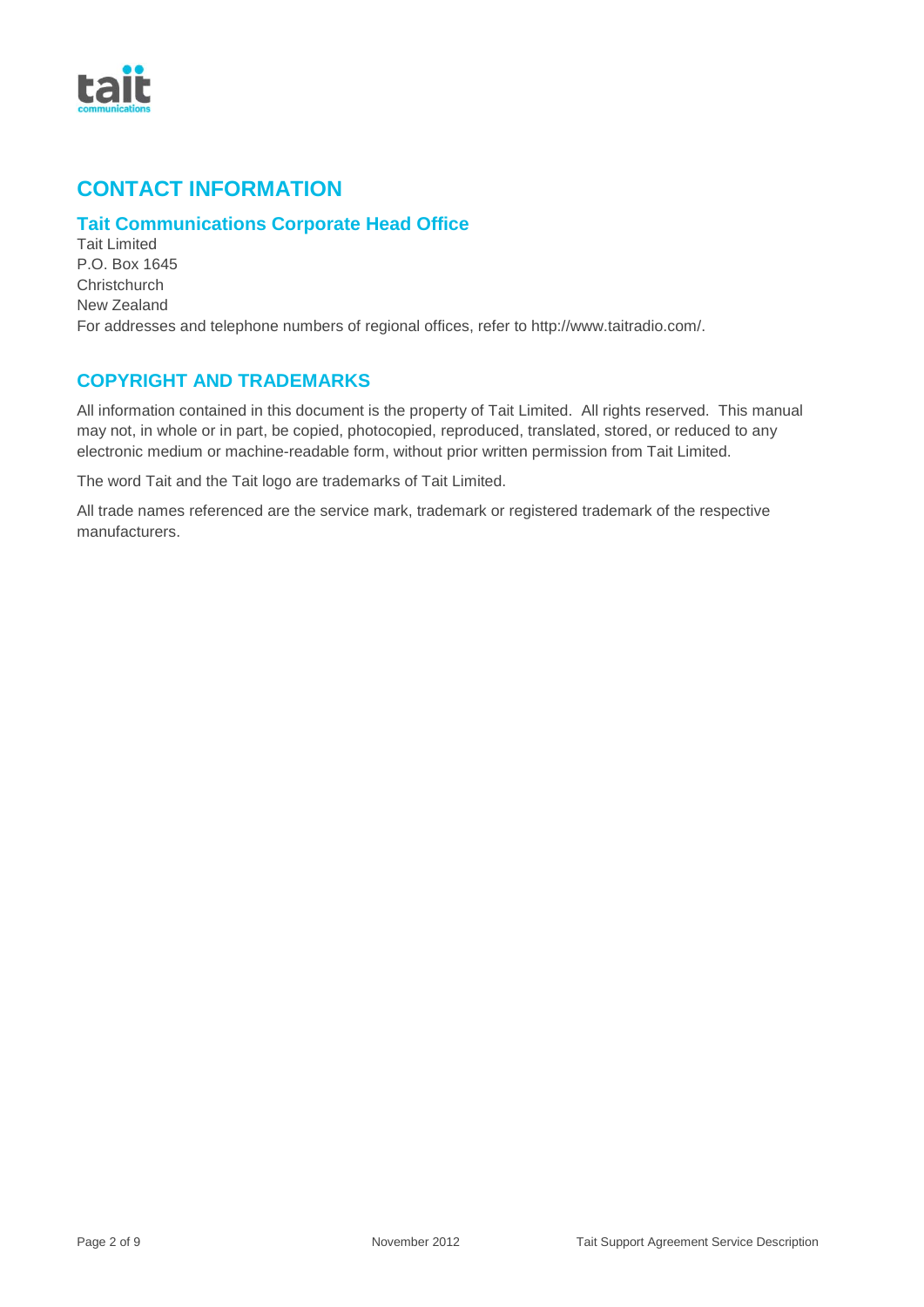

## **CONTACT INFORMATION**

### **Tait Communications Corporate Head Office**

Tait Limited P.O. Box 1645 **Christchurch** New Zealand For addresses and telephone numbers of regional offices, refer to http://www.taitradio.com/.

### **COPYRIGHT AND TRADEMARKS**

All information contained in this document is the property of Tait Limited. All rights reserved. This manual may not, in whole or in part, be copied, photocopied, reproduced, translated, stored, or reduced to any electronic medium or machine-readable form, without prior written permission from Tait Limited.

The word Tait and the Tait logo are trademarks of Tait Limited.

All trade names referenced are the service mark, trademark or registered trademark of the respective manufacturers.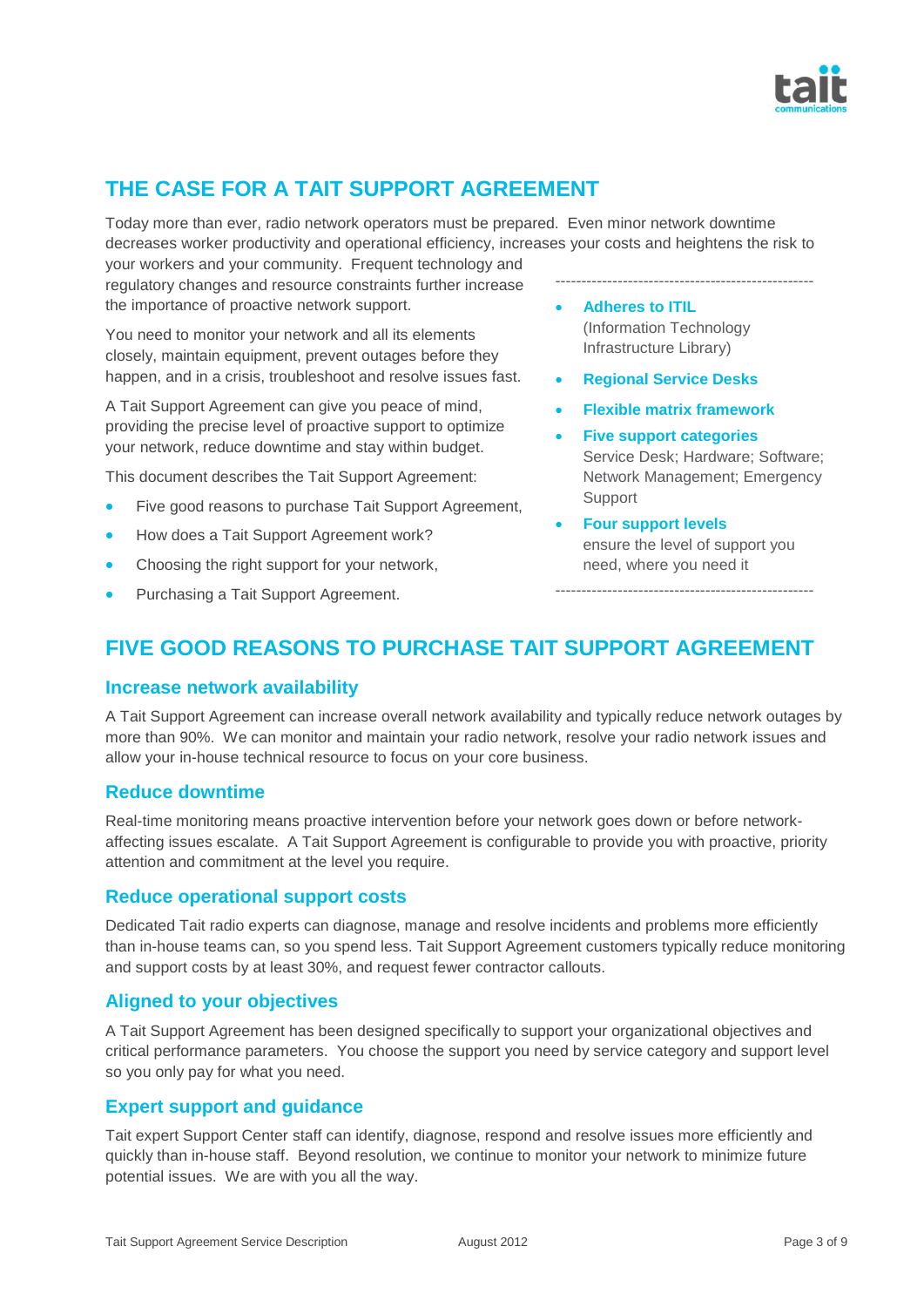

# **THE CASE FOR A TAIT SUPPORT AGREEMENT**

Today more than ever, radio network operators must be prepared. Even minor network downtime decreases worker productivity and operational efficiency, increases your costs and heightens the risk to

your workers and your community. Frequent technology and regulatory changes and resource constraints further increase the importance of proactive network support.

You need to monitor your network and all its elements closely, maintain equipment, prevent outages before they happen, and in a crisis, troubleshoot and resolve issues fast.

A Tait Support Agreement can give you peace of mind, providing the precise level of proactive support to optimize your network, reduce downtime and stay within budget.

This document describes the Tait Support Agreement:

- Five good reasons to purchase Tait Support Agreement,
- How does a Tait Support Agreement work?
- Choosing the right support for your network,
- Purchasing a Tait Support Agreement.

--------------------------------------------------

- **Adheres to ITIL**  (Information Technology Infrastructure Library)
- **Regional Service Desks**
- **Flexible matrix framework**
- **Five support categories**  Service Desk; Hardware; Software; Network Management; Emergency Support

--------------------------------------------------

 **Four support levels** ensure the level of support you need, where you need it

# **FIVE GOOD REASONS TO PURCHASE TAIT SUPPORT AGREEMENT**

#### **Increase network availability**

A Tait Support Agreement can increase overall network availability and typically reduce network outages by more than 90%. We can monitor and maintain your radio network, resolve your radio network issues and allow your in-house technical resource to focus on your core business.

#### **Reduce downtime**

Real-time monitoring means proactive intervention before your network goes down or before networkaffecting issues escalate. A Tait Support Agreement is configurable to provide you with proactive, priority attention and commitment at the level you require.

#### **Reduce operational support costs**

Dedicated Tait radio experts can diagnose, manage and resolve incidents and problems more efficiently than in-house teams can, so you spend less. Tait Support Agreement customers typically reduce monitoring and support costs by at least 30%, and request fewer contractor callouts.

#### **Aligned to your objectives**

A Tait Support Agreement has been designed specifically to support your organizational objectives and critical performance parameters. You choose the support you need by service category and support level so you only pay for what you need.

#### **Expert support and guidance**

Tait expert Support Center staff can identify, diagnose, respond and resolve issues more efficiently and quickly than in-house staff. Beyond resolution, we continue to monitor your network to minimize future potential issues. We are with you all the way.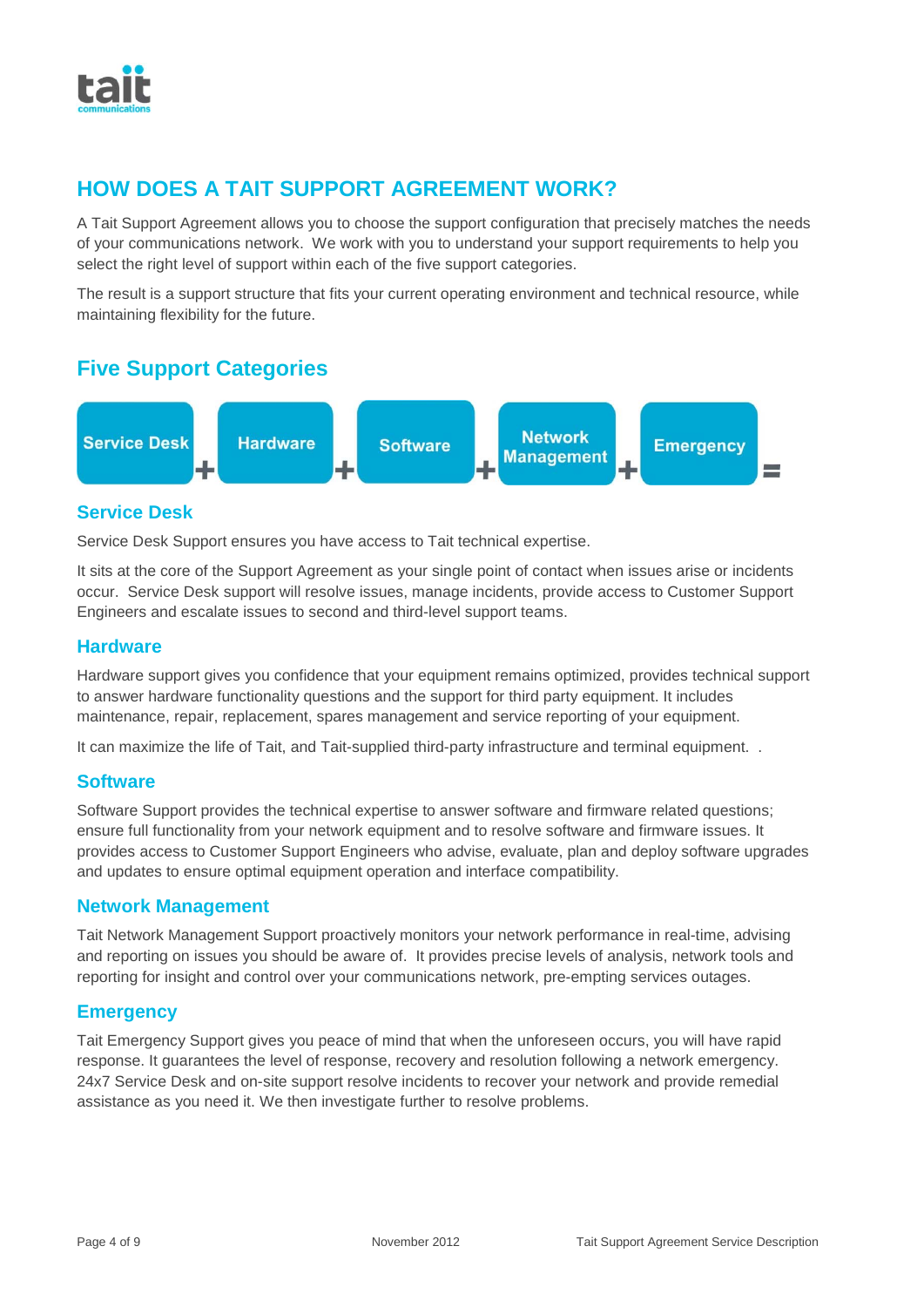

# **HOW DOES A TAIT SUPPORT AGREEMENT WORK?**

A Tait Support Agreement allows you to choose the support configuration that precisely matches the needs of your communications network. We work with you to understand your support requirements to help you select the right level of support within each of the five support categories.

The result is a support structure that fits your current operating environment and technical resource, while maintaining flexibility for the future.

### **Five Support Categories**



#### **Service Desk**

Service Desk Support ensures you have access to Tait technical expertise.

It sits at the core of the Support Agreement as your single point of contact when issues arise or incidents occur. Service Desk support will resolve issues, manage incidents, provide access to Customer Support Engineers and escalate issues to second and third-level support teams.

#### **Hardware**

Hardware support gives you confidence that your equipment remains optimized, provides technical support to answer hardware functionality questions and the support for third party equipment. It includes maintenance, repair, replacement, spares management and service reporting of your equipment.

It can maximize the life of Tait, and Tait-supplied third-party infrastructure and terminal equipment. .

#### **Software**

Software Support provides the technical expertise to answer software and firmware related questions; ensure full functionality from your network equipment and to resolve software and firmware issues. It provides access to Customer Support Engineers who advise, evaluate, plan and deploy software upgrades and updates to ensure optimal equipment operation and interface compatibility.

#### **Network Management**

Tait Network Management Support proactively monitors your network performance in real-time, advising and reporting on issues you should be aware of. It provides precise levels of analysis, network tools and reporting for insight and control over your communications network, pre-empting services outages.

#### **Emergency**

Tait Emergency Support gives you peace of mind that when the unforeseen occurs, you will have rapid response. It guarantees the level of response, recovery and resolution following a network emergency. 24x7 Service Desk and on-site support resolve incidents to recover your network and provide remedial assistance as you need it. We then investigate further to resolve problems.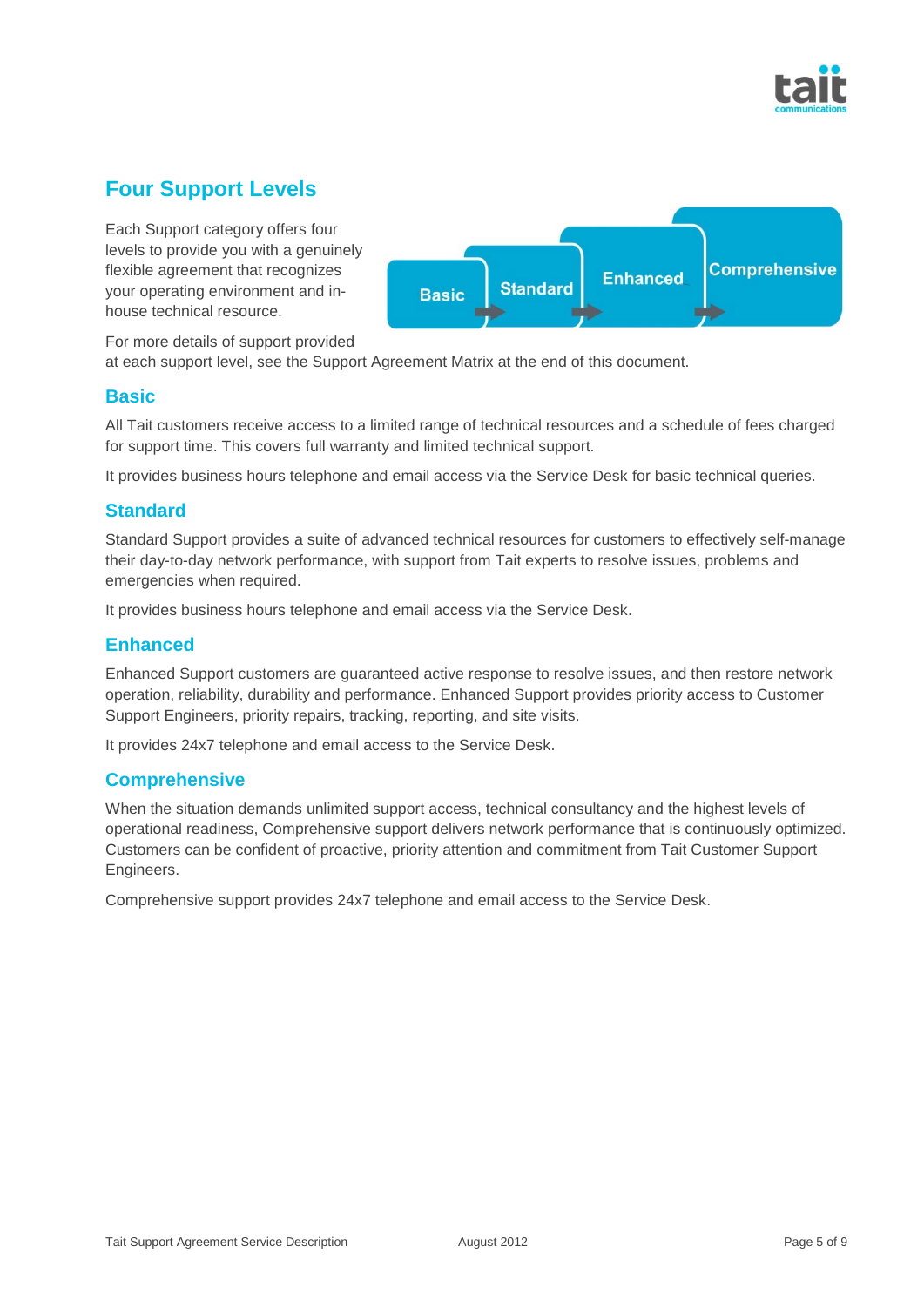

# **Four Support Levels**

Each Support category offers four levels to provide you with a genuinely flexible agreement that recognizes your operating environment and inhouse technical resource.



For more details of support provided

at each support level, see the Support Agreement Matrix at the end of this document.

#### **Basic**

All Tait customers receive access to a limited range of technical resources and a schedule of fees charged for support time. This covers full warranty and limited technical support.

It provides business hours telephone and email access via the Service Desk for basic technical queries.

### **Standard**

Standard Support provides a suite of advanced technical resources for customers to effectively self-manage their day-to-day network performance, with support from Tait experts to resolve issues, problems and emergencies when required.

It provides business hours telephone and email access via the Service Desk.

### **Enhanced**

Enhanced Support customers are guaranteed active response to resolve issues, and then restore network operation, reliability, durability and performance. Enhanced Support provides priority access to Customer Support Engineers, priority repairs, tracking, reporting, and site visits.

It provides 24x7 telephone and email access to the Service Desk.

#### **Comprehensive**

When the situation demands unlimited support access, technical consultancy and the highest levels of operational readiness, Comprehensive support delivers network performance that is continuously optimized. Customers can be confident of proactive, priority attention and commitment from Tait Customer Support Engineers.

Comprehensive support provides 24x7 telephone and email access to the Service Desk.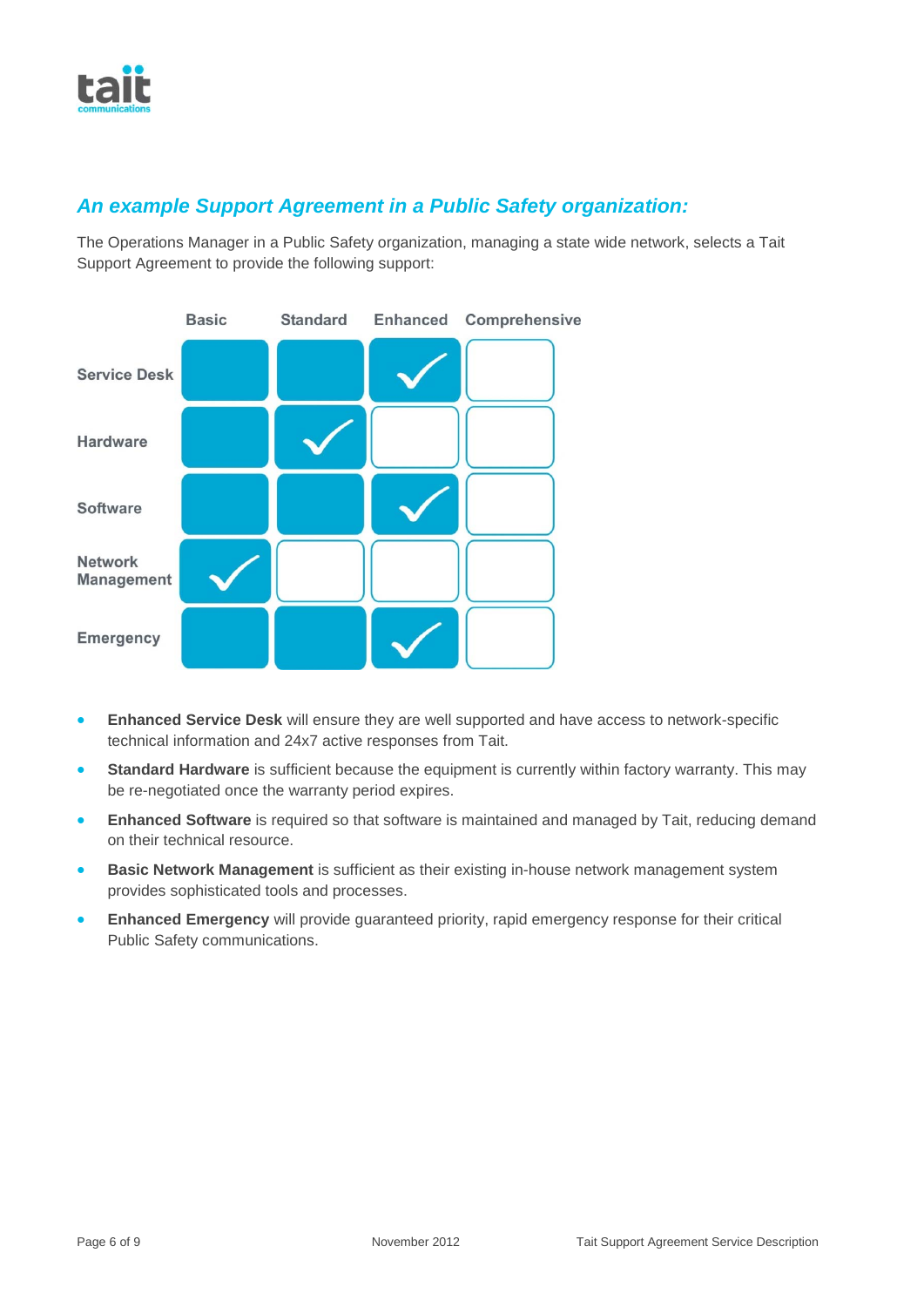### *An example Support Agreement in a Public Safety organization:*

The Operations Manager in a Public Safety organization, managing a state wide network, selects a Tait Support Agreement to provide the following support:



- **Enhanced Service Desk** will ensure they are well supported and have access to network-specific technical information and 24x7 active responses from Tait.
- **Standard Hardware** is sufficient because the equipment is currently within factory warranty. This may be re-negotiated once the warranty period expires.
- **Enhanced Software** is required so that software is maintained and managed by Tait, reducing demand on their technical resource.
- **Basic Network Management** is sufficient as their existing in-house network management system provides sophisticated tools and processes.
- **Enhanced Emergency** will provide guaranteed priority, rapid emergency response for their critical Public Safety communications.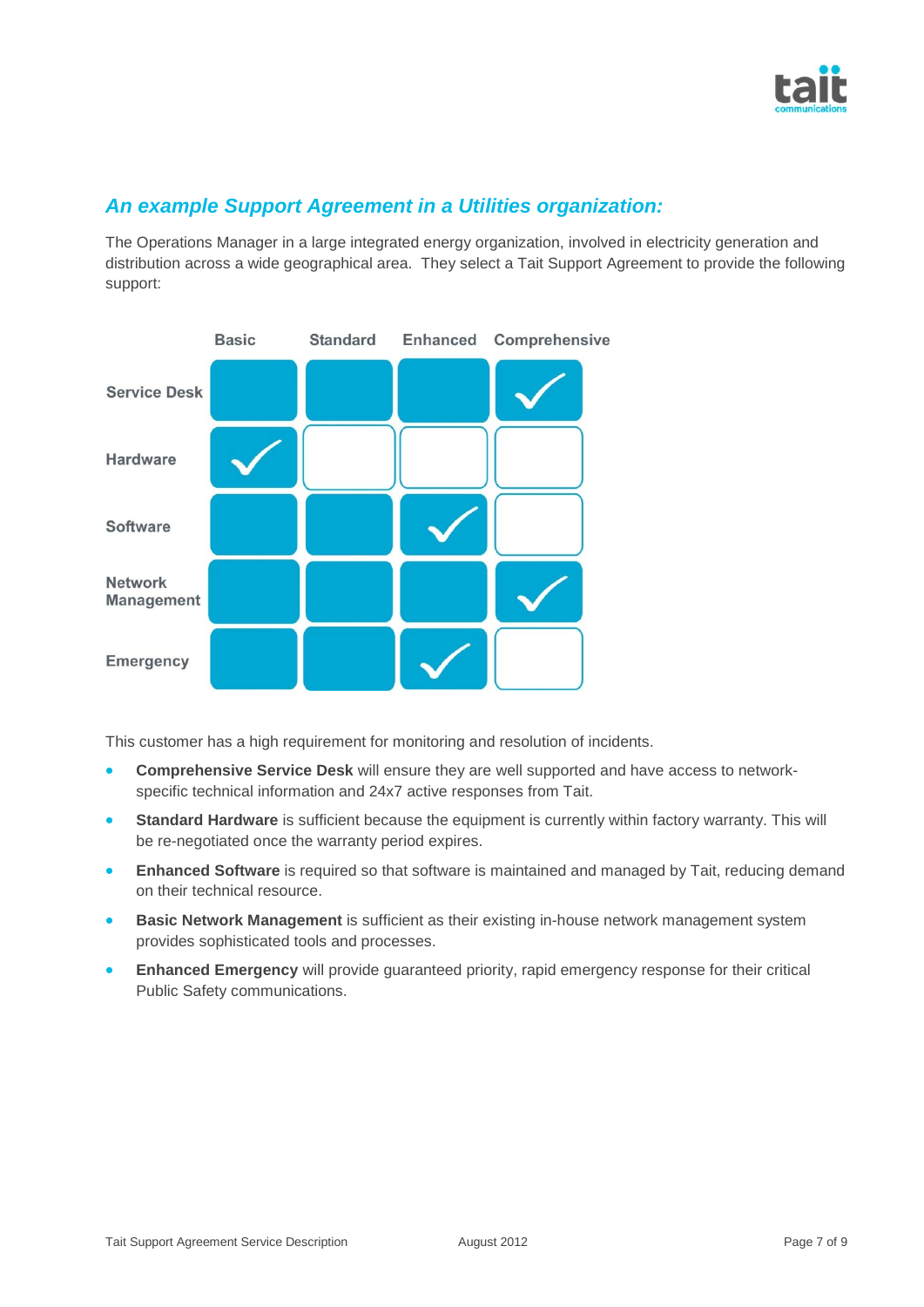

### *An example Support Agreement in a Utilities organization:*

The Operations Manager in a large integrated energy organization, involved in electricity generation and distribution across a wide geographical area. They select a Tait Support Agreement to provide the following support:



This customer has a high requirement for monitoring and resolution of incidents.

- **Comprehensive Service Desk** will ensure they are well supported and have access to networkspecific technical information and 24x7 active responses from Tait.
- **Standard Hardware** is sufficient because the equipment is currently within factory warranty. This will be re-negotiated once the warranty period expires.
- **Enhanced Software** is required so that software is maintained and managed by Tait, reducing demand on their technical resource.
- **Basic Network Management** is sufficient as their existing in-house network management system provides sophisticated tools and processes.
- **Enhanced Emergency** will provide guaranteed priority, rapid emergency response for their critical Public Safety communications.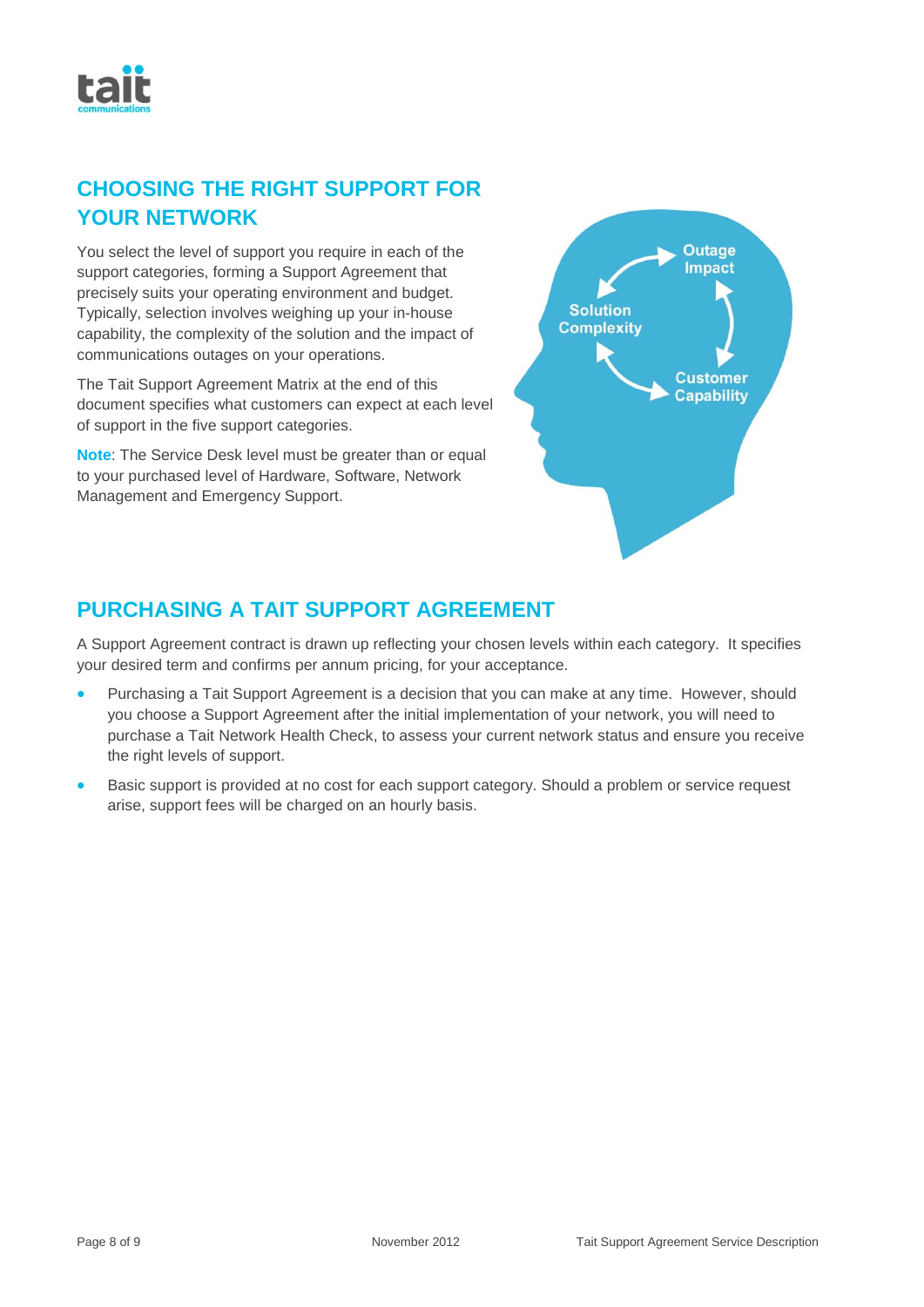

## **CHOOSING THE RIGHT SUPPORT FOR YOUR NETWORK**

You select the level of support you require in each of the support categories, forming a Support Agreement that precisely suits your operating environment and budget. Typically, selection involves weighing up your in-house capability, the complexity of the solution and the impact of communications outages on your operations.

The Tait Support Agreement Matrix at the end of this document specifies what customers can expect at each level of support in the five support categories.

**Note**: The Service Desk level must be greater than or equal to your purchased level of Hardware, Software, Network Management and Emergency Support.



# **PURCHASING A TAIT SUPPORT AGREEMENT**

A Support Agreement contract is drawn up reflecting your chosen levels within each category. It specifies your desired term and confirms per annum pricing, for your acceptance.

- Purchasing a Tait Support Agreement is a decision that you can make at any time. However, should you choose a Support Agreement after the initial implementation of your network, you will need to purchase a Tait Network Health Check, to assess your current network status and ensure you receive the right levels of support.
- Basic support is provided at no cost for each support category. Should a problem or service request arise, support fees will be charged on an hourly basis.